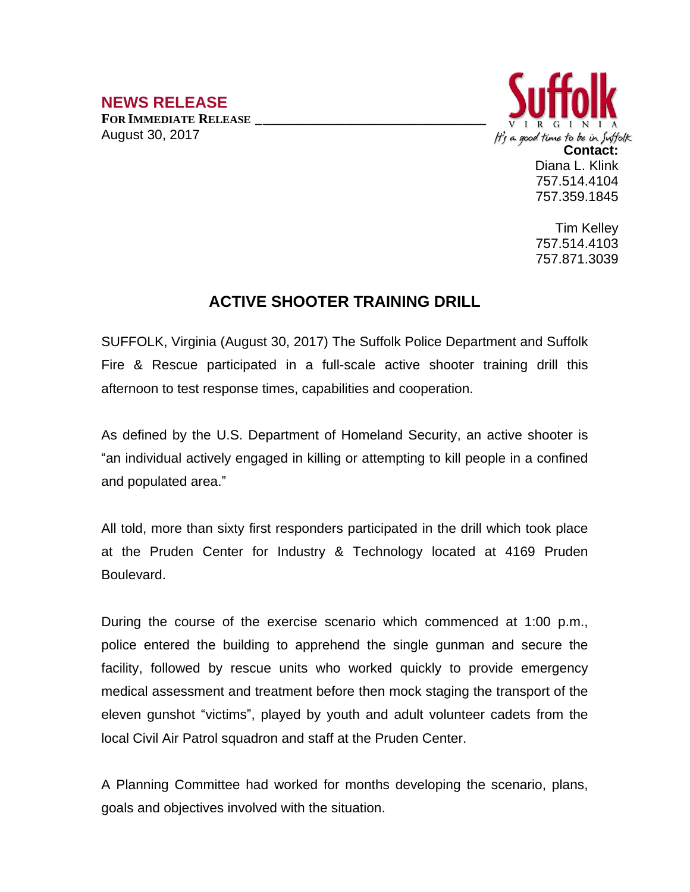## **NEWS RELEASE**

**FOR IMMEDIATE RELEASE \_\_\_\_\_\_\_\_\_\_\_\_\_\_\_\_\_\_\_\_\_\_\_\_\_\_\_\_\_\_\_\_\_\_** August 30, 2017



Tim Kelley 757.514.4103 757.871.3039

## **ACTIVE SHOOTER TRAINING DRILL**

SUFFOLK, Virginia (August 30, 2017) The Suffolk Police Department and Suffolk Fire & Rescue participated in a full-scale active shooter training drill this afternoon to test response times, capabilities and cooperation.

As defined by the U.S. Department of Homeland Security, an active shooter is "an individual actively engaged in killing or attempting to kill people in a confined and populated area."

All told, more than sixty first responders participated in the drill which took place at the Pruden Center for Industry & Technology located at 4169 Pruden Boulevard.

During the course of the exercise scenario which commenced at 1:00 p.m., police entered the building to apprehend the single gunman and secure the facility, followed by rescue units who worked quickly to provide emergency medical assessment and treatment before then mock staging the transport of the eleven gunshot "victims", played by youth and adult volunteer cadets from the local Civil Air Patrol squadron and staff at the Pruden Center.

A Planning Committee had worked for months developing the scenario, plans, goals and objectives involved with the situation.